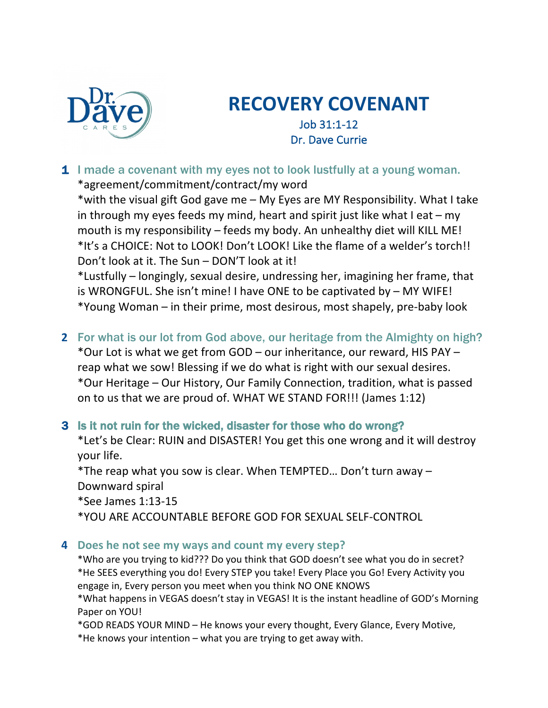

# **RECOVERY COVENANT**

Job 31:1-12 Dr. Dave Currie

1 I made a covenant with my eyes not to look lustfully at a young woman. \*agreement/commitment/contract/my word

\*with the visual gift God gave me – My Eyes are MY Responsibility. What I take in through my eyes feeds my mind, heart and spirit just like what I eat  $-$  my mouth is my responsibility – feeds my body. An unhealthy diet will KILL ME! \*It's a CHOICE: Not to LOOK! Don't LOOK! Like the flame of a welder's torch!! Don't look at it. The Sun – DON'T look at it!

\*Lustfully – longingly, sexual desire, undressing her, imagining her frame, that is WRONGFUL. She isn't mine! I have ONE to be captivated by – MY WIFE! \*Young Woman – in their prime, most desirous, most shapely, pre-baby look

**2** For what is our lot from God above, our heritage from the Almighty on high? \*Our Lot is what we get from GOD – our inheritance, our reward, HIS PAY – reap what we sow! Blessing if we do what is right with our sexual desires. \*Our Heritage – Our History, Our Family Connection, tradition, what is passed on to us that we are proud of. WHAT WE STAND FOR!!! (James 1:12)

## 3 Is it not ruin for the wicked, disaster for those who do wrong?

\*Let's be Clear: RUIN and DISASTER! You get this one wrong and it will destroy your life.

\*The reap what you sow is clear. When TEMPTED… Don't turn away – Downward spiral

\*See James 1:13-15

\*YOU ARE ACCOUNTABLE BEFORE GOD FOR SEXUAL SELF-CONTROL

### **4 Does he not see my ways and count my every step?**

\*Who are you trying to kid??? Do you think that GOD doesn't see what you do in secret? \*He SEES everything you do! Every STEP you take! Every Place you Go! Every Activity you engage in, Every person you meet when you think NO ONE KNOWS

\*What happens in VEGAS doesn't stay in VEGAS! It is the instant headline of GOD's Morning Paper on YOU!

\*GOD READS YOUR MIND – He knows your every thought, Every Glance, Every Motive,

\*He knows your intention – what you are trying to get away with.